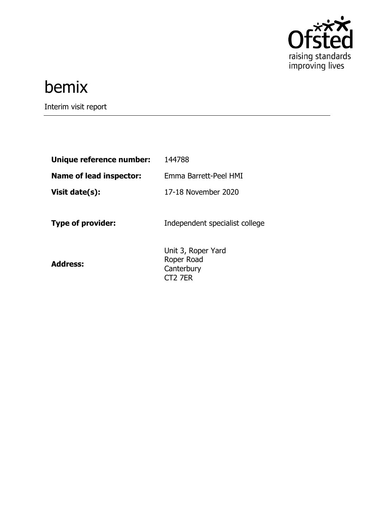

# bemix

Interim visit report

| 144788                                                                |
|-----------------------------------------------------------------------|
| Emma Barrett-Peel HMI                                                 |
| 17-18 November 2020                                                   |
| Independent specialist college                                        |
| Unit 3, Roper Yard<br>Roper Road<br>Canterbury<br>CT <sub>2</sub> 7ER |
|                                                                       |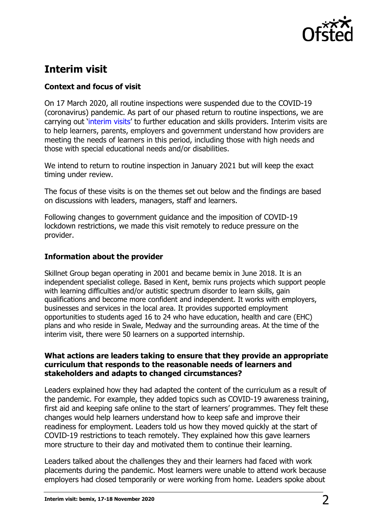

# **Interim visit**

# **Context and focus of visit**

On 17 March 2020, all routine inspections were suspended due to the COVID-19 (coronavirus) pandemic. As part of our phased return to routine inspections, we are carrying out '[interim visits](https://www.gov.uk/guidance/interim-phase-further-education-and-skills-providers#interim-visits)' to further education and skills providers. Interim visits are to help learners, parents, employers and government understand how providers are meeting the needs of learners in this period, including those with high needs and those with special educational needs and/or disabilities.

We intend to return to routine inspection in January 2021 but will keep the exact timing under review.

The focus of these visits is on the themes set out below and the findings are based on discussions with leaders, managers, staff and learners.

Following changes to government guidance and the imposition of COVID-19 lockdown restrictions, we made this visit remotely to reduce pressure on the provider.

## **Information about the provider**

Skillnet Group began operating in 2001 and became bemix in June 2018. It is an independent specialist college. Based in Kent, bemix runs projects which support people with learning difficulties and/or autistic spectrum disorder to learn skills, gain qualifications and become more confident and independent. It works with employers, businesses and services in the local area. It provides supported employment opportunities to students aged 16 to 24 who have education, health and care (EHC) plans and who reside in Swale, Medway and the surrounding areas. At the time of the interim visit, there were 50 learners on a supported internship.

### **What actions are leaders taking to ensure that they provide an appropriate curriculum that responds to the reasonable needs of learners and stakeholders and adapts to changed circumstances?**

Leaders explained how they had adapted the content of the curriculum as a result of the pandemic. For example, they added topics such as COVID-19 awareness training, first aid and keeping safe online to the start of learners' programmes. They felt these changes would help learners understand how to keep safe and improve their readiness for employment. Leaders told us how they moved quickly at the start of COVID-19 restrictions to teach remotely. They explained how this gave learners more structure to their day and motivated them to continue their learning.

Leaders talked about the challenges they and their learners had faced with work placements during the pandemic. Most learners were unable to attend work because employers had closed temporarily or were working from home. Leaders spoke about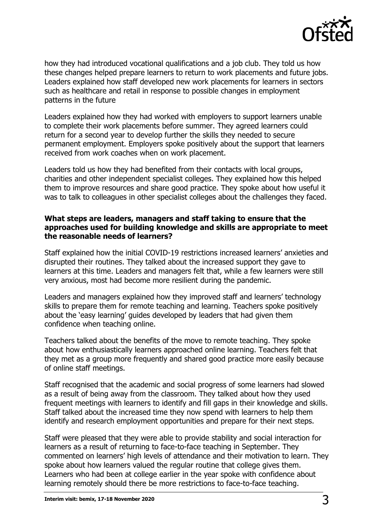

how they had introduced vocational qualifications and a job club. They told us how these changes helped prepare learners to return to work placements and future jobs. Leaders explained how staff developed new work placements for learners in sectors such as healthcare and retail in response to possible changes in employment patterns in the future

Leaders explained how they had worked with employers to support learners unable to complete their work placements before summer. They agreed learners could return for a second year to develop further the skills they needed to secure permanent employment. Employers spoke positively about the support that learners received from work coaches when on work placement.

Leaders told us how they had benefited from their contacts with local groups, charities and other independent specialist colleges. They explained how this helped them to improve resources and share good practice. They spoke about how useful it was to talk to colleagues in other specialist colleges about the challenges they faced.

### **What steps are leaders, managers and staff taking to ensure that the approaches used for building knowledge and skills are appropriate to meet the reasonable needs of learners?**

Staff explained how the initial COVID-19 restrictions increased learners' anxieties and disrupted their routines. They talked about the increased support they gave to learners at this time. Leaders and managers felt that, while a few learners were still very anxious, most had become more resilient during the pandemic.

Leaders and managers explained how they improved staff and learners' technology skills to prepare them for remote teaching and learning. Teachers spoke positively about the 'easy learning' guides developed by leaders that had given them confidence when teaching online.

Teachers talked about the benefits of the move to remote teaching. They spoke about how enthusiastically learners approached online learning. Teachers felt that they met as a group more frequently and shared good practice more easily because of online staff meetings.

Staff recognised that the academic and social progress of some learners had slowed as a result of being away from the classroom. They talked about how they used frequent meetings with learners to identify and fill gaps in their knowledge and skills. Staff talked about the increased time they now spend with learners to help them identify and research employment opportunities and prepare for their next steps.

Staff were pleased that they were able to provide stability and social interaction for learners as a result of returning to face-to-face teaching in September. They commented on learners' high levels of attendance and their motivation to learn. They spoke about how learners valued the regular routine that college gives them. Learners who had been at college earlier in the year spoke with confidence about learning remotely should there be more restrictions to face-to-face teaching.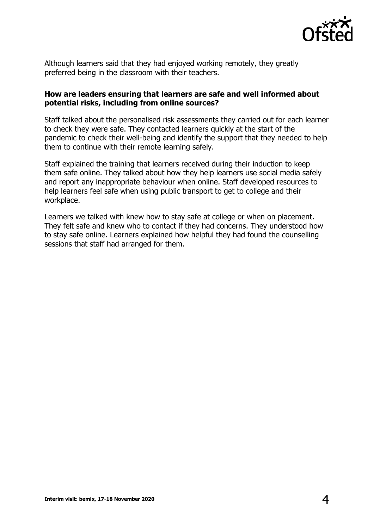

Although learners said that they had enjoyed working remotely, they greatly preferred being in the classroom with their teachers.

#### **How are leaders ensuring that learners are safe and well informed about potential risks, including from online sources?**

Staff talked about the personalised risk assessments they carried out for each learner to check they were safe. They contacted learners quickly at the start of the pandemic to check their well-being and identify the support that they needed to help them to continue with their remote learning safely.

Staff explained the training that learners received during their induction to keep them safe online. They talked about how they help learners use social media safely and report any inappropriate behaviour when online. Staff developed resources to help learners feel safe when using public transport to get to college and their workplace.

Learners we talked with knew how to stay safe at college or when on placement. They felt safe and knew who to contact if they had concerns. They understood how to stay safe online. Learners explained how helpful they had found the counselling sessions that staff had arranged for them.